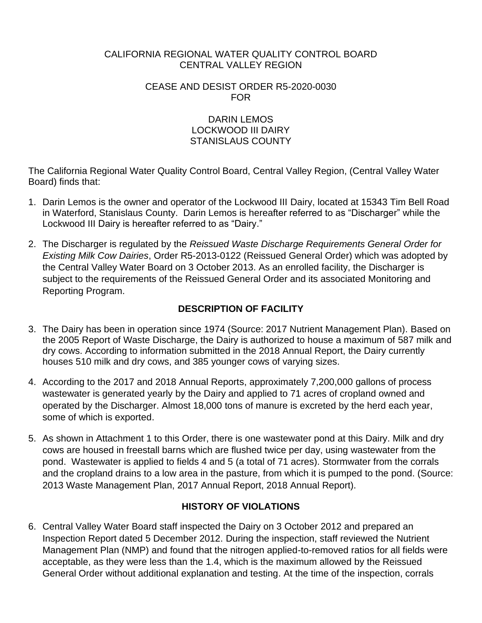### CALIFORNIA REGIONAL WATER QUALITY CONTROL BOARD CENTRAL VALLEY REGION

#### CEASE AND DESIST ORDER R5-2020-0030 FOR

# DARIN LEMOS LOCKWOOD III DAIRY STANISLAUS COUNTY

The California Regional Water Quality Control Board, Central Valley Region, (Central Valley Water Board) finds that:

- 1. Darin Lemos is the owner and operator of the Lockwood III Dairy, located at 15343 Tim Bell Road in Waterford, Stanislaus County. Darin Lemos is hereafter referred to as "Discharger" while the Lockwood III Dairy is hereafter referred to as "Dairy."
- 2. The Discharger is regulated by the *Reissued Waste Discharge Requirements General Order for Existing Milk Cow Dairies*, Order R5-2013-0122 (Reissued General Order) which was adopted by the Central Valley Water Board on 3 October 2013. As an enrolled facility, the Discharger is subject to the requirements of the Reissued General Order and its associated Monitoring and Reporting Program.

# **DESCRIPTION OF FACILITY**

- 3. The Dairy has been in operation since 1974 (Source: 2017 Nutrient Management Plan). Based on the 2005 Report of Waste Discharge, the Dairy is authorized to house a maximum of 587 milk and dry cows. According to information submitted in the 2018 Annual Report, the Dairy currently houses 510 milk and dry cows, and 385 younger cows of varying sizes.
- 4. According to the 2017 and 2018 Annual Reports, approximately 7,200,000 gallons of process wastewater is generated yearly by the Dairy and applied to 71 acres of cropland owned and operated by the Discharger. Almost 18,000 tons of manure is excreted by the herd each year, some of which is exported.
- 5. As shown in Attachment 1 to this Order, there is one wastewater pond at this Dairy. Milk and dry cows are housed in freestall barns which are flushed twice per day, using wastewater from the pond. Wastewater is applied to fields 4 and 5 (a total of 71 acres). Stormwater from the corrals and the cropland drains to a low area in the pasture, from which it is pumped to the pond. (Source: 2013 Waste Management Plan, 2017 Annual Report, 2018 Annual Report).

# **HISTORY OF VIOLATIONS**

6. Central Valley Water Board staff inspected the Dairy on 3 October 2012 and prepared an Inspection Report dated 5 December 2012. During the inspection, staff reviewed the Nutrient Management Plan (NMP) and found that the nitrogen applied-to-removed ratios for all fields were acceptable, as they were less than the 1.4, which is the maximum allowed by the Reissued General Order without additional explanation and testing. At the time of the inspection, corrals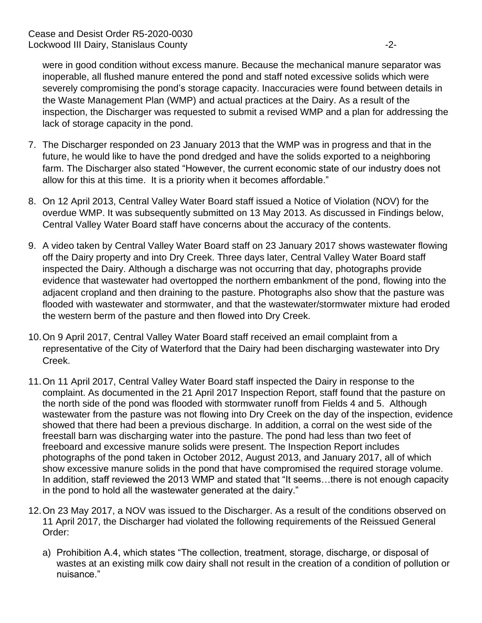were in good condition without excess manure. Because the mechanical manure separator was inoperable, all flushed manure entered the pond and staff noted excessive solids which were severely compromising the pond's storage capacity. Inaccuracies were found between details in the Waste Management Plan (WMP) and actual practices at the Dairy. As a result of the inspection, the Discharger was requested to submit a revised WMP and a plan for addressing the lack of storage capacity in the pond.

- 7. The Discharger responded on 23 January 2013 that the WMP was in progress and that in the future, he would like to have the pond dredged and have the solids exported to a neighboring farm. The Discharger also stated "However, the current economic state of our industry does not allow for this at this time. It is a priority when it becomes affordable."
- 8. On 12 April 2013, Central Valley Water Board staff issued a Notice of Violation (NOV) for the overdue WMP. It was subsequently submitted on 13 May 2013. As discussed in Findings below, Central Valley Water Board staff have concerns about the accuracy of the contents.
- 9. A video taken by Central Valley Water Board staff on 23 January 2017 shows wastewater flowing off the Dairy property and into Dry Creek. Three days later, Central Valley Water Board staff inspected the Dairy. Although a discharge was not occurring that day, photographs provide evidence that wastewater had overtopped the northern embankment of the pond, flowing into the adjacent cropland and then draining to the pasture. Photographs also show that the pasture was flooded with wastewater and stormwater, and that the wastewater/stormwater mixture had eroded the western berm of the pasture and then flowed into Dry Creek.
- 10. On 9 April 2017, Central Valley Water Board staff received an email complaint from a representative of the City of Waterford that the Dairy had been discharging wastewater into Dry Creek.
- 11. On 11 April 2017, Central Valley Water Board staff inspected the Dairy in response to the complaint. As documented in the 21 April 2017 Inspection Report, staff found that the pasture on the north side of the pond was flooded with stormwater runoff from Fields 4 and 5. Although wastewater from the pasture was not flowing into Dry Creek on the day of the inspection, evidence showed that there had been a previous discharge. In addition, a corral on the west side of the freestall barn was discharging water into the pasture. The pond had less than two feet of freeboard and excessive manure solids were present. The Inspection Report includes photographs of the pond taken in October 2012, August 2013, and January 2017, all of which show excessive manure solids in the pond that have compromised the required storage volume. In addition, staff reviewed the 2013 WMP and stated that "It seems…there is not enough capacity in the pond to hold all the wastewater generated at the dairy."
- 12. On 23 May 2017, a NOV was issued to the Discharger. As a result of the conditions observed on 11 April 2017, the Discharger had violated the following requirements of the Reissued General Order:
	- a) Prohibition A.4, which states "The collection, treatment, storage, discharge, or disposal of wastes at an existing milk cow dairy shall not result in the creation of a condition of pollution or nuisance."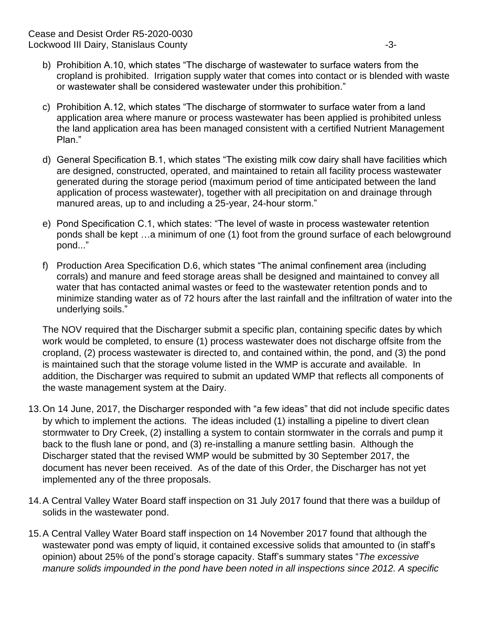- b) Prohibition A.10, which states "The discharge of wastewater to surface waters from the cropland is prohibited. Irrigation supply water that comes into contact or is blended with waste or wastewater shall be considered wastewater under this prohibition."
- c) Prohibition A.12, which states "The discharge of stormwater to surface water from a land application area where manure or process wastewater has been applied is prohibited unless the land application area has been managed consistent with a certified Nutrient Management Plan."
- d) General Specification B.1, which states "The existing milk cow dairy shall have facilities which are designed, constructed, operated, and maintained to retain all facility process wastewater generated during the storage period (maximum period of time anticipated between the land application of process wastewater), together with all precipitation on and drainage through manured areas, up to and including a 25-year, 24-hour storm."
- e) Pond Specification C.1, which states: "The level of waste in process wastewater retention ponds shall be kept …a minimum of one (1) foot from the ground surface of each belowground pond..."
- f) Production Area Specification D.6, which states "The animal confinement area (including corrals) and manure and feed storage areas shall be designed and maintained to convey all water that has contacted animal wastes or feed to the wastewater retention ponds and to minimize standing water as of 72 hours after the last rainfall and the infiltration of water into the underlying soils."

The NOV required that the Discharger submit a specific plan, containing specific dates by which work would be completed, to ensure (1) process wastewater does not discharge offsite from the cropland, (2) process wastewater is directed to, and contained within, the pond, and (3) the pond is maintained such that the storage volume listed in the WMP is accurate and available. In addition, the Discharger was required to submit an updated WMP that reflects all components of the waste management system at the Dairy.

- 13. On 14 June, 2017, the Discharger responded with "a few ideas" that did not include specific dates by which to implement the actions. The ideas included (1) installing a pipeline to divert clean stormwater to Dry Creek, (2) installing a system to contain stormwater in the corrals and pump it back to the flush lane or pond, and (3) re-installing a manure settling basin. Although the Discharger stated that the revised WMP would be submitted by 30 September 2017, the document has never been received. As of the date of this Order, the Discharger has not yet implemented any of the three proposals.
- 14. A Central Valley Water Board staff inspection on 31 July 2017 found that there was a buildup of solids in the wastewater pond.
- 15. A Central Valley Water Board staff inspection on 14 November 2017 found that although the wastewater pond was empty of liquid, it contained excessive solids that amounted to (in staff's opinion) about 25% of the pond's storage capacity. Staff's summary states "*The excessive manure solids impounded in the pond have been noted in all inspections since 2012. A specific*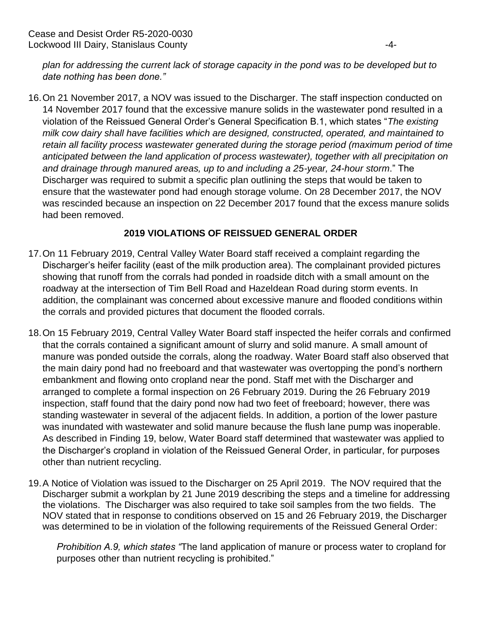*plan for addressing the current lack of storage capacity in the pond was to be developed but to date nothing has been done."*

16. On 21 November 2017, a NOV was issued to the Discharger. The staff inspection conducted on 14 November 2017 found that the excessive manure solids in the wastewater pond resulted in a violation of the Reissued General Order's General Specification B.1, which states "*The existing milk cow dairy shall have facilities which are designed, constructed, operated, and maintained to retain all facility process wastewater generated during the storage period (maximum period of time anticipated between the land application of process wastewater), together with all precipitation on and drainage through manured areas, up to and including a 25-year, 24-hour storm*." The Discharger was required to submit a specific plan outlining the steps that would be taken to ensure that the wastewater pond had enough storage volume. On 28 December 2017, the NOV was rescinded because an inspection on 22 December 2017 found that the excess manure solids had been removed.

# **2019 VIOLATIONS OF REISSUED GENERAL ORDER**

- 17. On 11 February 2019, Central Valley Water Board staff received a complaint regarding the Discharger's heifer facility (east of the milk production area). The complainant provided pictures showing that runoff from the corrals had ponded in roadside ditch with a small amount on the roadway at the intersection of Tim Bell Road and Hazeldean Road during storm events. In addition, the complainant was concerned about excessive manure and flooded conditions within the corrals and provided pictures that document the flooded corrals.
- 18. On 15 February 2019, Central Valley Water Board staff inspected the heifer corrals and confirmed that the corrals contained a significant amount of slurry and solid manure. A small amount of manure was ponded outside the corrals, along the roadway. Water Board staff also observed that the main dairy pond had no freeboard and that wastewater was overtopping the pond's northern embankment and flowing onto cropland near the pond. Staff met with the Discharger and arranged to complete a formal inspection on 26 February 2019. During the 26 February 2019 inspection, staff found that the dairy pond now had two feet of freeboard; however, there was standing wastewater in several of the adjacent fields. In addition, a portion of the lower pasture was inundated with wastewater and solid manure because the flush lane pump was inoperable. As described in Finding 19, below, Water Board staff determined that wastewater was applied to the Discharger's cropland in violation of the Reissued General Order, in particular, for purposes other than nutrient recycling.
- 19. A Notice of Violation was issued to the Discharger on 25 April 2019. The NOV required that the Discharger submit a workplan by 21 June 2019 describing the steps and a timeline for addressing the violations. The Discharger was also required to take soil samples from the two fields. The NOV stated that in response to conditions observed on 15 and 26 February 2019, the Discharger was determined to be in violation of the following requirements of the Reissued General Order:

*Prohibition A.9, which states "*The land application of manure or process water to cropland for purposes other than nutrient recycling is prohibited."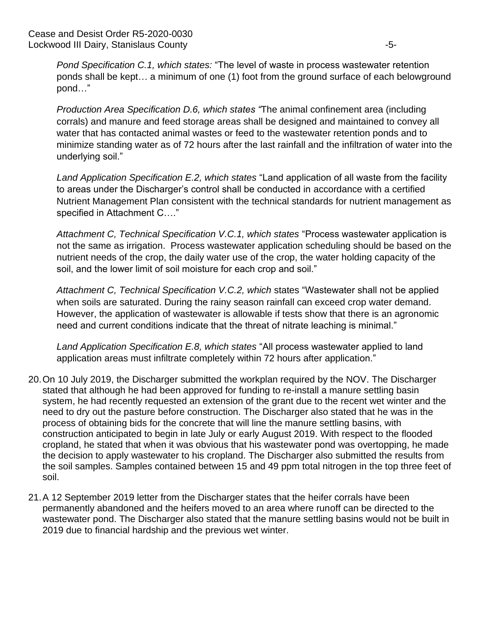*Pond Specification C.1, which states:* "The level of waste in process wastewater retention ponds shall be kept… a minimum of one (1) foot from the ground surface of each belowground pond…"

*Production Area Specification D.6, which states "*The animal confinement area (including corrals) and manure and feed storage areas shall be designed and maintained to convey all water that has contacted animal wastes or feed to the wastewater retention ponds and to minimize standing water as of 72 hours after the last rainfall and the infiltration of water into the underlying soil."

*Land Application Specification E.2, which states* "Land application of all waste from the facility to areas under the Discharger's control shall be conducted in accordance with a certified Nutrient Management Plan consistent with the technical standards for nutrient management as specified in Attachment C…."

*Attachment C, Technical Specification V.C.1, which states* "Process wastewater application is not the same as irrigation. Process wastewater application scheduling should be based on the nutrient needs of the crop, the daily water use of the crop, the water holding capacity of the soil, and the lower limit of soil moisture for each crop and soil."

*Attachment C, Technical Specification V.C.2, which* states "Wastewater shall not be applied when soils are saturated. During the rainy season rainfall can exceed crop water demand. However, the application of wastewater is allowable if tests show that there is an agronomic need and current conditions indicate that the threat of nitrate leaching is minimal."

*Land Application Specification E.8, which states* "All process wastewater applied to land application areas must infiltrate completely within 72 hours after application."

- 20. On 10 July 2019, the Discharger submitted the workplan required by the NOV. The Discharger stated that although he had been approved for funding to re-install a manure settling basin system, he had recently requested an extension of the grant due to the recent wet winter and the need to dry out the pasture before construction. The Discharger also stated that he was in the process of obtaining bids for the concrete that will line the manure settling basins, with construction anticipated to begin in late July or early August 2019. With respect to the flooded cropland, he stated that when it was obvious that his wastewater pond was overtopping, he made the decision to apply wastewater to his cropland. The Discharger also submitted the results from the soil samples. Samples contained between 15 and 49 ppm total nitrogen in the top three feet of soil.
- 21. A 12 September 2019 letter from the Discharger states that the heifer corrals have been permanently abandoned and the heifers moved to an area where runoff can be directed to the wastewater pond. The Discharger also stated that the manure settling basins would not be built in 2019 due to financial hardship and the previous wet winter.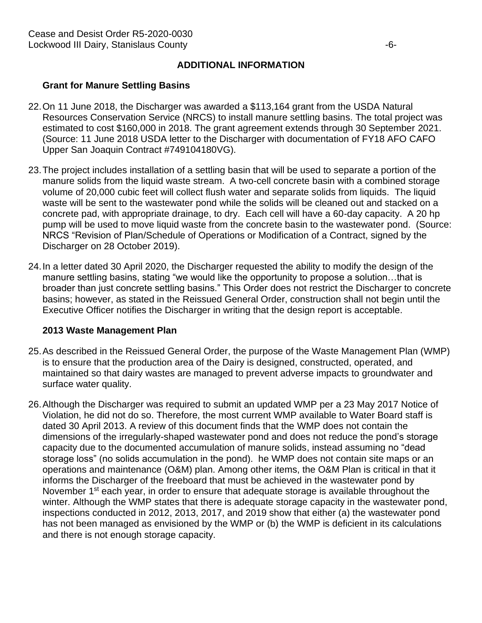### **ADDITIONAL INFORMATION**

#### **Grant for Manure Settling Basins**

- 22. On 11 June 2018, the Discharger was awarded a \$113,164 grant from the USDA Natural Resources Conservation Service (NRCS) to install manure settling basins. The total project was estimated to cost \$160,000 in 2018. The grant agreement extends through 30 September 2021. (Source: 11 June 2018 USDA letter to the Discharger with documentation of FY18 AFO CAFO Upper San Joaquin Contract #749104180VG).
- 23. The project includes installation of a settling basin that will be used to separate a portion of the manure solids from the liquid waste stream. A two-cell concrete basin with a combined storage volume of 20,000 cubic feet will collect flush water and separate solids from liquids. The liquid waste will be sent to the wastewater pond while the solids will be cleaned out and stacked on a concrete pad, with appropriate drainage, to dry. Each cell will have a 60-day capacity. A 20 hp pump will be used to move liquid waste from the concrete basin to the wastewater pond. (Source: NRCS "Revision of Plan/Schedule of Operations or Modification of a Contract, signed by the Discharger on 28 October 2019).
- 24. In a letter dated 30 April 2020, the Discharger requested the ability to modify the design of the manure settling basins, stating "we would like the opportunity to propose a solution…that is broader than just concrete settling basins." This Order does not restrict the Discharger to concrete basins; however, as stated in the Reissued General Order, construction shall not begin until the Executive Officer notifies the Discharger in writing that the design report is acceptable.

#### **2013 Waste Management Plan**

- 25. As described in the Reissued General Order, the purpose of the Waste Management Plan (WMP) is to ensure that the production area of the Dairy is designed, constructed, operated, and maintained so that dairy wastes are managed to prevent adverse impacts to groundwater and surface water quality.
- 26. Although the Discharger was required to submit an updated WMP per a 23 May 2017 Notice of Violation, he did not do so. Therefore, the most current WMP available to Water Board staff is dated 30 April 2013. A review of this document finds that the WMP does not contain the dimensions of the irregularly-shaped wastewater pond and does not reduce the pond's storage capacity due to the documented accumulation of manure solids, instead assuming no "dead storage loss" (no solids accumulation in the pond). he WMP does not contain site maps or an operations and maintenance (O&M) plan. Among other items, the O&M Plan is critical in that it informs the Discharger of the freeboard that must be achieved in the wastewater pond by November 1<sup>st</sup> each year, in order to ensure that adequate storage is available throughout the winter. Although the WMP states that there is adequate storage capacity in the wastewater pond, inspections conducted in 2012, 2013, 2017, and 2019 show that either (a) the wastewater pond has not been managed as envisioned by the WMP or (b) the WMP is deficient in its calculations and there is not enough storage capacity.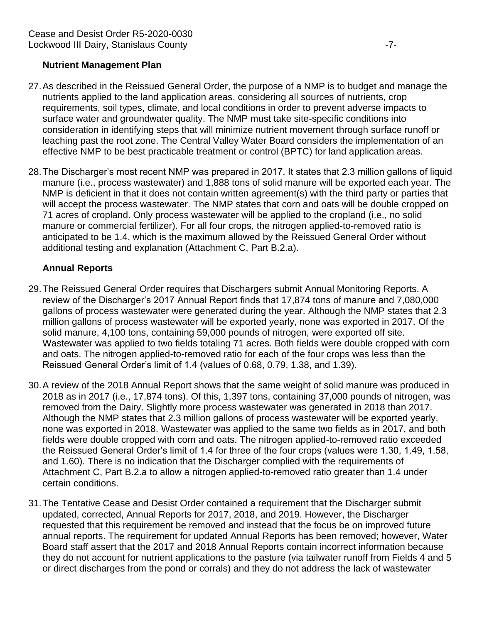#### **Nutrient Management Plan**

- 27. As described in the Reissued General Order, the purpose of a NMP is to budget and manage the nutrients applied to the land application areas, considering all sources of nutrients, crop requirements, soil types, climate, and local conditions in order to prevent adverse impacts to surface water and groundwater quality. The NMP must take site-specific conditions into consideration in identifying steps that will minimize nutrient movement through surface runoff or leaching past the root zone. The Central Valley Water Board considers the implementation of an effective NMP to be best practicable treatment or control (BPTC) for land application areas.
- 28.The Discharger's most recent NMP was prepared in 2017. It states that 2.3 million gallons of liquid manure (i.e., process wastewater) and 1,888 tons of solid manure will be exported each year. The NMP is deficient in that it does not contain written agreement(s) with the third party or parties that will accept the process wastewater. The NMP states that corn and oats will be double cropped on 71 acres of cropland. Only process wastewater will be applied to the cropland (i.e., no solid manure or commercial fertilizer). For all four crops, the nitrogen applied-to-removed ratio is anticipated to be 1.4, which is the maximum allowed by the Reissued General Order without additional testing and explanation (Attachment C, Part B.2.a).

### **Annual Reports**

- 29. The Reissued General Order requires that Dischargers submit Annual Monitoring Reports. A review of the Discharger's 2017 Annual Report finds that 17,874 tons of manure and 7,080,000 gallons of process wastewater were generated during the year. Although the NMP states that 2.3 million gallons of process wastewater will be exported yearly, none was exported in 2017. Of the solid manure, 4,100 tons, containing 59,000 pounds of nitrogen, were exported off site. Wastewater was applied to two fields totaling 71 acres. Both fields were double cropped with corn and oats. The nitrogen applied-to-removed ratio for each of the four crops was less than the Reissued General Order's limit of 1.4 (values of 0.68, 0.79, 1.38, and 1.39).
- 30. A review of the 2018 Annual Report shows that the same weight of solid manure was produced in 2018 as in 2017 (i.e., 17,874 tons). Of this, 1,397 tons, containing 37,000 pounds of nitrogen, was removed from the Dairy. Slightly more process wastewater was generated in 2018 than 2017. Although the NMP states that 2.3 million gallons of process wastewater will be exported yearly, none was exported in 2018. Wastewater was applied to the same two fields as in 2017, and both fields were double cropped with corn and oats. The nitrogen applied-to-removed ratio exceeded the Reissued General Order's limit of 1.4 for three of the four crops (values were 1.30, 1.49, 1.58, and 1.60). There is no indication that the Discharger complied with the requirements of Attachment C, Part B.2.a to allow a nitrogen applied-to-removed ratio greater than 1.4 under certain conditions.
- 31. The Tentative Cease and Desist Order contained a requirement that the Discharger submit updated, corrected, Annual Reports for 2017, 2018, and 2019. However, the Discharger requested that this requirement be removed and instead that the focus be on improved future annual reports. The requirement for updated Annual Reports has been removed; however, Water Board staff assert that the 2017 and 2018 Annual Reports contain incorrect information because they do not account for nutrient applications to the pasture (via tailwater runoff from Fields 4 and 5 or direct discharges from the pond or corrals) and they do not address the lack of wastewater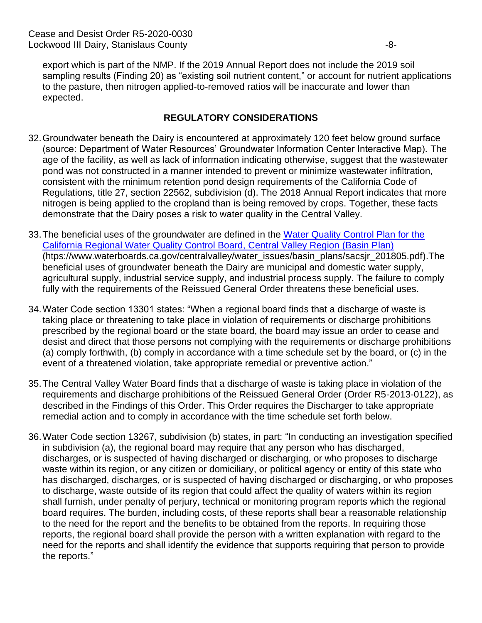export which is part of the NMP. If the 2019 Annual Report does not include the 2019 soil sampling results (Finding 20) as "existing soil nutrient content," or account for nutrient applications to the pasture, then nitrogen applied-to-removed ratios will be inaccurate and lower than expected.

# **REGULATORY CONSIDERATIONS**

- 32. Groundwater beneath the Dairy is encountered at approximately 120 feet below ground surface (source: Department of Water Resources' Groundwater Information Center Interactive Map). The age of the facility, as well as lack of information indicating otherwise, suggest that the wastewater pond was not constructed in a manner intended to prevent or minimize wastewater infiltration, consistent with the minimum retention pond design requirements of the California Code of Regulations, title 27, section 22562, subdivision (d). The 2018 Annual Report indicates that more nitrogen is being applied to the cropland than is being removed by crops. Together, these facts demonstrate that the Dairy poses a risk to water quality in the Central Valley.
- 33. The beneficial uses of the groundwater are defined in the [Water Quality Control Plan for the](https://www.waterboards.ca.gov/centralvalley/water_issues/basin_plans/sacsjr_201805.pdf)  [California Regional Water Quality Control Board, Central Valley Region \(Basin Plan\)](https://www.waterboards.ca.gov/centralvalley/water_issues/basin_plans/sacsjr_201805.pdf) (htps://www.waterboards.ca.gov/centralvalley/water\_issues/basin\_plans/sacsjr\_201805.pdf).The beneficial uses of groundwater beneath the Dairy are municipal and domestic water supply, agricultural supply, industrial service supply, and industrial process supply. The failure to comply fully with the requirements of the Reissued General Order threatens these beneficial uses.
- 34.Water Code section 13301 states: "When a regional board finds that a discharge of waste is taking place or threatening to take place in violation of requirements or discharge prohibitions prescribed by the regional board or the state board, the board may issue an order to cease and desist and direct that those persons not complying with the requirements or discharge prohibitions (a) comply forthwith, (b) comply in accordance with a time schedule set by the board, or (c) in the event of a threatened violation, take appropriate remedial or preventive action."
- 35. The Central Valley Water Board finds that a discharge of waste is taking place in violation of the requirements and discharge prohibitions of the Reissued General Order (Order R5-2013-0122), as described in the Findings of this Order. This Order requires the Discharger to take appropriate remedial action and to comply in accordance with the time schedule set forth below.
- 36. Water Code section 13267, subdivision (b) states, in part: "In conducting an investigation specified in subdivision (a), the regional board may require that any person who has discharged, discharges, or is suspected of having discharged or discharging, or who proposes to discharge waste within its region, or any citizen or domiciliary, or political agency or entity of this state who has discharged, discharges, or is suspected of having discharged or discharging, or who proposes to discharge, waste outside of its region that could affect the quality of waters within its region shall furnish, under penalty of perjury, technical or monitoring program reports which the regional board requires. The burden, including costs, of these reports shall bear a reasonable relationship to the need for the report and the benefits to be obtained from the reports. In requiring those reports, the regional board shall provide the person with a written explanation with regard to the need for the reports and shall identify the evidence that supports requiring that person to provide the reports."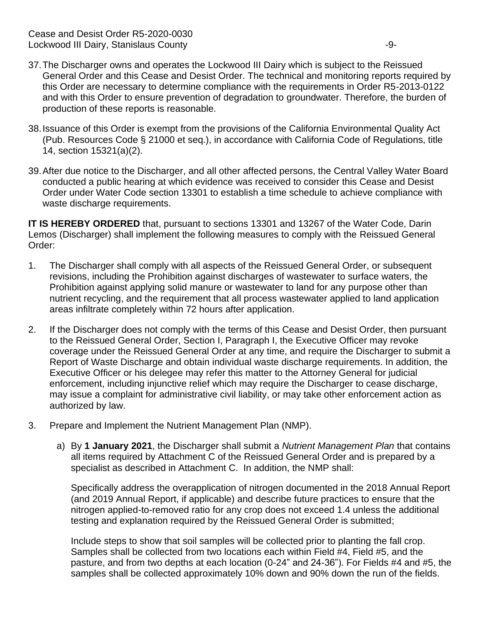- 37. The Discharger owns and operates the Lockwood III Dairy which is subject to the Reissued General Order and this Cease and Desist Order. The technical and monitoring reports required by this Order are necessary to determine compliance with the requirements in Order R5-2013-0122 and with this Order to ensure prevention of degradation to groundwater. Therefore, the burden of production of these reports is reasonable.
- 38. Issuance of this Order is exempt from the provisions of the California Environmental Quality Act (Pub. Resources Code § 21000 et seq.), in accordance with California Code of Regulations, title 14, section 15321(a)(2).
- 39. After due notice to the Discharger, and all other affected persons, the Central Valley Water Board conducted a public hearing at which evidence was received to consider this Cease and Desist Order under Water Code section 13301 to establish a time schedule to achieve compliance with waste discharge requirements.

**IT IS HEREBY ORDERED** that, pursuant to sections 13301 and 13267 of the Water Code, Darin Lemos (Discharger) shall implement the following measures to comply with the Reissued General Order:

- 1. The Discharger shall comply with all aspects of the Reissued General Order, or subsequent revisions, including the Prohibition against discharges of wastewater to surface waters, the Prohibition against applying solid manure or wastewater to land for any purpose other than nutrient recycling, and the requirement that all process wastewater applied to land application areas infiltrate completely within 72 hours after application.
- 2. If the Discharger does not comply with the terms of this Cease and Desist Order, then pursuant to the Reissued General Order, Section I, Paragraph I, the Executive Officer may revoke coverage under the Reissued General Order at any time, and require the Discharger to submit a Report of Waste Discharge and obtain individual waste discharge requirements. In addition, the Executive Officer or his delegee may refer this matter to the Attorney General for judicial enforcement, including injunctive relief which may require the Discharger to cease discharge, may issue a complaint for administrative civil liability, or may take other enforcement action as authorized by law.
- 3. Prepare and Implement the Nutrient Management Plan (NMP).
	- a) By **1 January 2021**, the Discharger shall submit a *Nutrient Management Plan* that contains all items required by Attachment C of the Reissued General Order and is prepared by a specialist as described in Attachment C. In addition, the NMP shall:

Specifically address the overapplication of nitrogen documented in the 2018 Annual Report (and 2019 Annual Report, if applicable) and describe future practices to ensure that the nitrogen applied-to-removed ratio for any crop does not exceed 1.4 unless the additional testing and explanation required by the Reissued General Order is submitted;

Include steps to show that soil samples will be collected prior to planting the fall crop. Samples shall be collected from two locations each within Field #4, Field #5, and the pasture, and from two depths at each location (0-24" and 24-36"). For Fields #4 and #5, the samples shall be collected approximately 10% down and 90% down the run of the fields.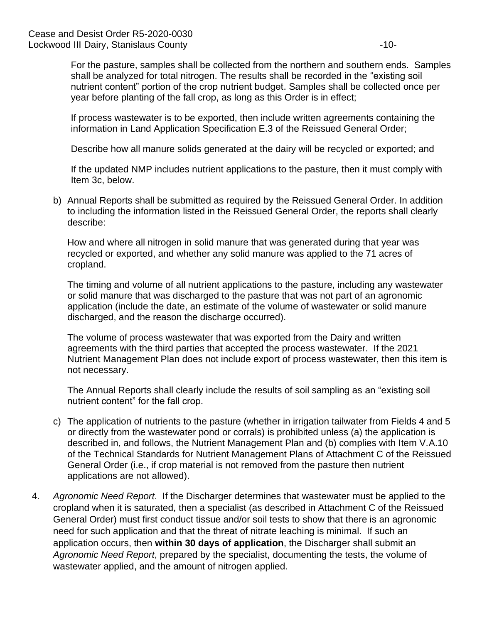If process wastewater is to be exported, then include written agreements containing the information in Land Application Specification E.3 of the Reissued General Order;

Describe how all manure solids generated at the dairy will be recycled or exported; and

If the updated NMP includes nutrient applications to the pasture, then it must comply with Item 3c, below.

b) Annual Reports shall be submitted as required by the Reissued General Order. In addition to including the information listed in the Reissued General Order, the reports shall clearly describe:

How and where all nitrogen in solid manure that was generated during that year was recycled or exported, and whether any solid manure was applied to the 71 acres of cropland.

The timing and volume of all nutrient applications to the pasture, including any wastewater or solid manure that was discharged to the pasture that was not part of an agronomic application (include the date, an estimate of the volume of wastewater or solid manure discharged, and the reason the discharge occurred).

The volume of process wastewater that was exported from the Dairy and written agreements with the third parties that accepted the process wastewater. If the 2021 Nutrient Management Plan does not include export of process wastewater, then this item is not necessary.

The Annual Reports shall clearly include the results of soil sampling as an "existing soil nutrient content" for the fall crop.

- c) The application of nutrients to the pasture (whether in irrigation tailwater from Fields 4 and 5 or directly from the wastewater pond or corrals) is prohibited unless (a) the application is described in, and follows, the Nutrient Management Plan and (b) complies with Item V.A.10 of the Technical Standards for Nutrient Management Plans of Attachment C of the Reissued General Order (i.e., if crop material is not removed from the pasture then nutrient applications are not allowed).
- 4. *Agronomic Need Report*. If the Discharger determines that wastewater must be applied to the cropland when it is saturated, then a specialist (as described in Attachment C of the Reissued General Order) must first conduct tissue and/or soil tests to show that there is an agronomic need for such application and that the threat of nitrate leaching is minimal. If such an application occurs, then **within 30 days of application**, the Discharger shall submit an *Agronomic Need Report*, prepared by the specialist, documenting the tests, the volume of wastewater applied, and the amount of nitrogen applied.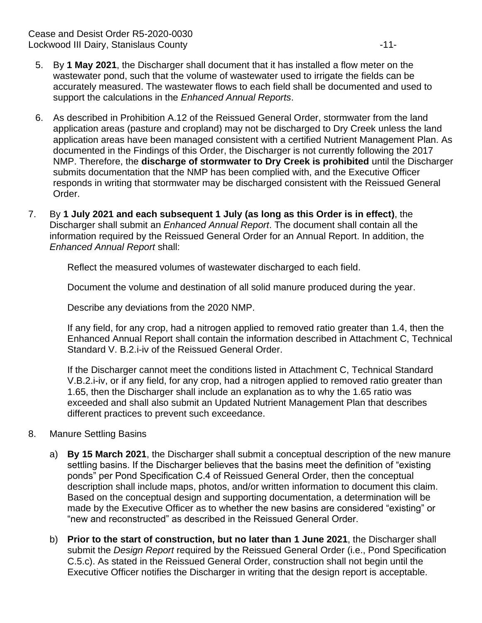- 5. By **1 May 2021**, the Discharger shall document that it has installed a flow meter on the wastewater pond, such that the volume of wastewater used to irrigate the fields can be accurately measured. The wastewater flows to each field shall be documented and used to support the calculations in the *Enhanced Annual Reports*.
- 6. As described in Prohibition A.12 of the Reissued General Order, stormwater from the land application areas (pasture and cropland) may not be discharged to Dry Creek unless the land application areas have been managed consistent with a certified Nutrient Management Plan. As documented in the Findings of this Order, the Discharger is not currently following the 2017 NMP. Therefore, the **discharge of stormwater to Dry Creek is prohibited** until the Discharger submits documentation that the NMP has been complied with, and the Executive Officer responds in writing that stormwater may be discharged consistent with the Reissued General Order.
- 7. By **1 July 2021 and each subsequent 1 July (as long as this Order is in effect)**, the Discharger shall submit an *Enhanced Annual Report*. The document shall contain all the information required by the Reissued General Order for an Annual Report. In addition, the *Enhanced Annual Report* shall:

Reflect the measured volumes of wastewater discharged to each field.

Document the volume and destination of all solid manure produced during the year.

Describe any deviations from the 2020 NMP.

If any field, for any crop, had a nitrogen applied to removed ratio greater than 1.4, then the Enhanced Annual Report shall contain the information described in Attachment C, Technical Standard V. B.2.i-iv of the Reissued General Order.

If the Discharger cannot meet the conditions listed in Attachment C, Technical Standard V.B.2.i-iv, or if any field, for any crop, had a nitrogen applied to removed ratio greater than 1.65, then the Discharger shall include an explanation as to why the 1.65 ratio was exceeded and shall also submit an Updated Nutrient Management Plan that describes different practices to prevent such exceedance.

#### 8. Manure Settling Basins

- a) **By 15 March 2021**, the Discharger shall submit a conceptual description of the new manure settling basins. If the Discharger believes that the basins meet the definition of "existing ponds" per Pond Specification C.4 of Reissued General Order, then the conceptual description shall include maps, photos, and/or written information to document this claim. Based on the conceptual design and supporting documentation, a determination will be made by the Executive Officer as to whether the new basins are considered "existing" or "new and reconstructed" as described in the Reissued General Order.
- b) **Prior to the start of construction, but no later than 1 June 2021**, the Discharger shall submit the *Design Report* required by the Reissued General Order (i.e., Pond Specification C.5.c). As stated in the Reissued General Order, construction shall not begin until the Executive Officer notifies the Discharger in writing that the design report is acceptable.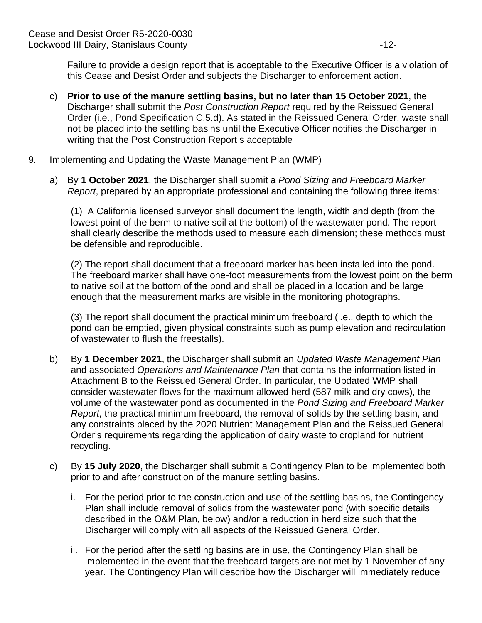Failure to provide a design report that is acceptable to the Executive Officer is a violation of this Cease and Desist Order and subjects the Discharger to enforcement action.

- c) **Prior to use of the manure settling basins, but no later than 15 October 2021**, the Discharger shall submit the *Post Construction Report* required by the Reissued General Order (i.e., Pond Specification C.5.d). As stated in the Reissued General Order, waste shall not be placed into the settling basins until the Executive Officer notifies the Discharger in writing that the Post Construction Report s acceptable
- 9. Implementing and Updating the Waste Management Plan (WMP)
	- a) By **1 October 2021**, the Discharger shall submit a *Pond Sizing and Freeboard Marker Report*, prepared by an appropriate professional and containing the following three items:

(1) A California licensed surveyor shall document the length, width and depth (from the lowest point of the berm to native soil at the bottom) of the wastewater pond. The report shall clearly describe the methods used to measure each dimension; these methods must be defensible and reproducible.

(2) The report shall document that a freeboard marker has been installed into the pond. The freeboard marker shall have one-foot measurements from the lowest point on the berm to native soil at the bottom of the pond and shall be placed in a location and be large enough that the measurement marks are visible in the monitoring photographs.

(3) The report shall document the practical minimum freeboard (i.e., depth to which the pond can be emptied, given physical constraints such as pump elevation and recirculation of wastewater to flush the freestalls).

- b) By **1 December 2021**, the Discharger shall submit an *Updated Waste Management Plan* and associated *Operations and Maintenance Plan* that contains the information listed in Attachment B to the Reissued General Order. In particular, the Updated WMP shall consider wastewater flows for the maximum allowed herd (587 milk and dry cows), the volume of the wastewater pond as documented in the *Pond Sizing and Freeboard Marker Report*, the practical minimum freeboard, the removal of solids by the settling basin, and any constraints placed by the 2020 Nutrient Management Plan and the Reissued General Order's requirements regarding the application of dairy waste to cropland for nutrient recycling.
- c) By **15 July 2020**, the Discharger shall submit a Contingency Plan to be implemented both prior to and after construction of the manure settling basins.
	- i. For the period prior to the construction and use of the settling basins, the Contingency Plan shall include removal of solids from the wastewater pond (with specific details described in the O&M Plan, below) and/or a reduction in herd size such that the Discharger will comply with all aspects of the Reissued General Order.
	- ii. For the period after the settling basins are in use, the Contingency Plan shall be implemented in the event that the freeboard targets are not met by 1 November of any year. The Contingency Plan will describe how the Discharger will immediately reduce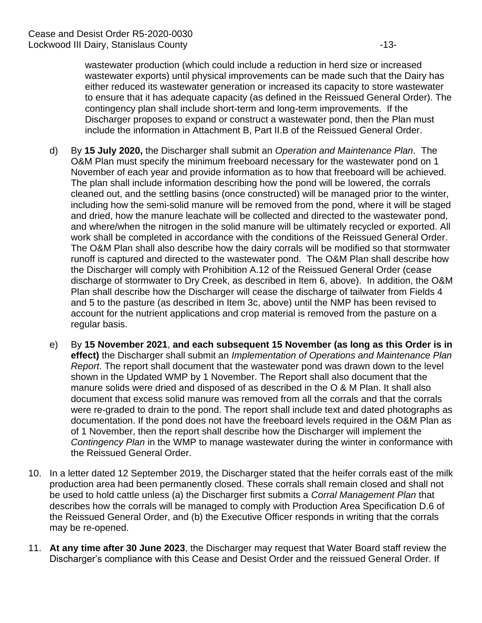wastewater production (which could include a reduction in herd size or increased wastewater exports) until physical improvements can be made such that the Dairy has either reduced its wastewater generation or increased its capacity to store wastewater to ensure that it has adequate capacity (as defined in the Reissued General Order). The contingency plan shall include short-term and long-term improvements. If the Discharger proposes to expand or construct a wastewater pond, then the Plan must include the information in Attachment B, Part II.B of the Reissued General Order.

- d) By **15 July 2020,** the Discharger shall submit an *Operation and Maintenance Plan.* The O&M Plan must specify the minimum freeboard necessary for the wastewater pond on 1 November of each year and provide information as to how that freeboard will be achieved. The plan shall include information describing how the pond will be lowered, the corrals cleaned out, and the settling basins (once constructed) will be managed prior to the winter, including how the semi-solid manure will be removed from the pond, where it will be staged and dried, how the manure leachate will be collected and directed to the wastewater pond, and where/when the nitrogen in the solid manure will be ultimately recycled or exported. All work shall be completed in accordance with the conditions of the Reissued General Order. The O&M Plan shall also describe how the dairy corrals will be modified so that stormwater runoff is captured and directed to the wastewater pond. The O&M Plan shall describe how the Discharger will comply with Prohibition A.12 of the Reissued General Order (cease discharge of stormwater to Dry Creek, as described in Item 6, above). In addition, the O&M Plan shall describe how the Discharger will cease the discharge of tailwater from Fields 4 and 5 to the pasture (as described in Item 3c, above) until the NMP has been revised to account for the nutrient applications and crop material is removed from the pasture on a regular basis.
- e) By **15 November 2021**, **and each subsequent 15 November (as long as this Order is in effect)** the Discharger shall submit an *Implementation of Operations and Maintenance Plan Report*. The report shall document that the wastewater pond was drawn down to the level shown in the Updated WMP by 1 November. The Report shall also document that the manure solids were dried and disposed of as described in the O & M Plan. It shall also document that excess solid manure was removed from all the corrals and that the corrals were re-graded to drain to the pond. The report shall include text and dated photographs as documentation. If the pond does not have the freeboard levels required in the O&M Plan as of 1 November, then the report shall describe how the Discharger will implement the *Contingency Plan* in the WMP to manage wastewater during the winter in conformance with the Reissued General Order.
- 10. In a letter dated 12 September 2019, the Discharger stated that the heifer corrals east of the milk production area had been permanently closed. These corrals shall remain closed and shall not be used to hold cattle unless (a) the Discharger first submits a *Corral Management Plan* that describes how the corrals will be managed to comply with Production Area Specification D.6 of the Reissued General Order, and (b) the Executive Officer responds in writing that the corrals may be re-opened.
- 11. **At any time after 30 June 2023**, the Discharger may request that Water Board staff review the Discharger's compliance with this Cease and Desist Order and the reissued General Order. If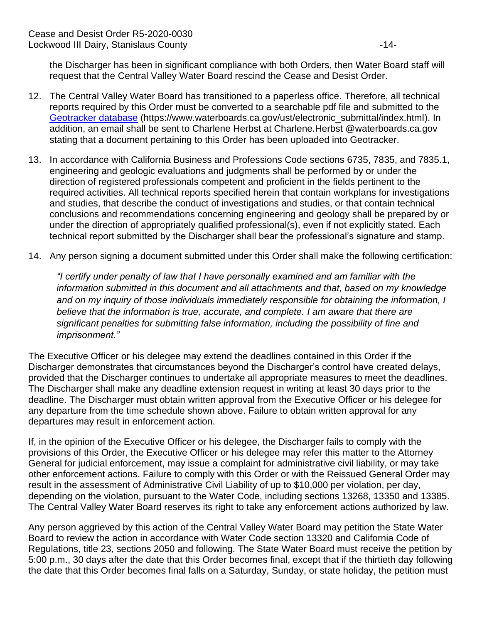the Discharger has been in significant compliance with both Orders, then Water Board staff will request that the Central Valley Water Board rescind the Cease and Desist Order.

- 12. The Central Valley Water Board has transitioned to a paperless office. Therefore, all technical reports required by this Order must be converted to a searchable pdf file and submitted to the [Geotracker database](https://www.waterboards.ca.gov/ust/electronic_submittal/index.html) (https://www.waterboards.ca.gov/ust/electronic\_submittal/index.html). In addition, an email shall be sent to Charlene Herbst at Charlene.Herbst @waterboards.ca.gov stating that a document pertaining to this Order has been uploaded into Geotracker.
- 13. In accordance with California Business and Professions Code sections 6735, 7835, and 7835.1, engineering and geologic evaluations and judgments shall be performed by or under the direction of registered professionals competent and proficient in the fields pertinent to the required activities. All technical reports specified herein that contain workplans for investigations and studies, that describe the conduct of investigations and studies, or that contain technical conclusions and recommendations concerning engineering and geology shall be prepared by or under the direction of appropriately qualified professional(s), even if not explicitly stated. Each technical report submitted by the Discharger shall bear the professional's signature and stamp.
- 14. Any person signing a document submitted under this Order shall make the following certification:

*"I certify under penalty of law that I have personally examined and am familiar with the information submitted in this document and all attachments and that, based on my knowledge and on my inquiry of those individuals immediately responsible for obtaining the information, I believe that the information is true, accurate, and complete. I am aware that there are significant penalties for submitting false information, including the possibility of fine and imprisonment."*

The Executive Officer or his delegee may extend the deadlines contained in this Order if the Discharger demonstrates that circumstances beyond the Discharger's control have created delays, provided that the Discharger continues to undertake all appropriate measures to meet the deadlines. The Discharger shall make any deadline extension request in writing at least 30 days prior to the deadline. The Discharger must obtain written approval from the Executive Officer or his delegee for any departure from the time schedule shown above. Failure to obtain written approval for any departures may result in enforcement action.

If, in the opinion of the Executive Officer or his delegee, the Discharger fails to comply with the provisions of this Order, the Executive Officer or his delegee may refer this matter to the Attorney General for judicial enforcement, may issue a complaint for administrative civil liability, or may take other enforcement actions. Failure to comply with this Order or with the Reissued General Order may result in the assessment of Administrative Civil Liability of up to \$10,000 per violation, per day, depending on the violation, pursuant to the Water Code, including sections 13268, 13350 and 13385. The Central Valley Water Board reserves its right to take any enforcement actions authorized by law.

Any person aggrieved by this action of the Central Valley Water Board may petition the State Water Board to review the action in accordance with Water Code section 13320 and California Code of Regulations, title 23, sections 2050 and following. The State Water Board must receive the petition by 5:00 p.m., 30 days after the date that this Order becomes final, except that if the thirtieth day following the date that this Order becomes final falls on a Saturday, Sunday, or state holiday, the petition must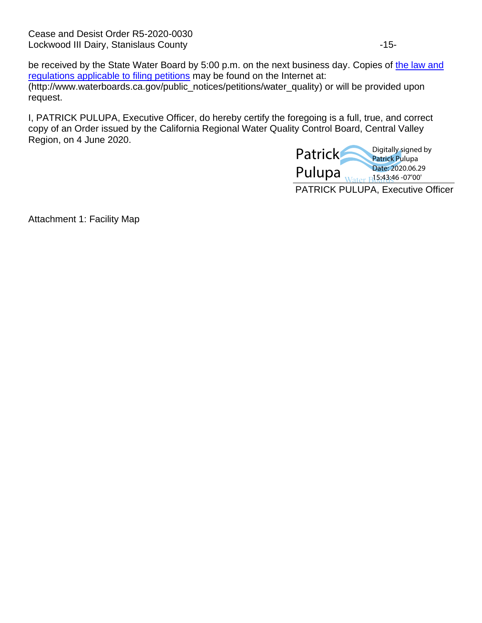be received by the State Water Board by 5:00 p.m. on the next business day. Copies of [the law and](http://www.waterboards.ca.gov/public_notices/petitions/water_quality)  [regulations applicable to filing petitions](http://www.waterboards.ca.gov/public_notices/petitions/water_quality) may be found on the Internet at: (http://www.waterboards.ca.gov/public\_notices/petitions/water\_quality) or will be provided upon request.

I, PATRICK PULUPA, Executive Officer, do hereby certify the foregoing is a full, true, and correct copy of an Order issued by the California Regional Water Quality Control Board, Central Valley Region, on 4 June 2020.

| Patrick                           | Digitally signed by<br><b>Patrick Pulupa</b> |
|-----------------------------------|----------------------------------------------|
| Pulupa                            | Date: 2020.06.29<br>Water B.5:43:46 -07'00'  |
| PATRICK PULUPA, Executive Officer |                                              |

Attachment 1: Facility Map